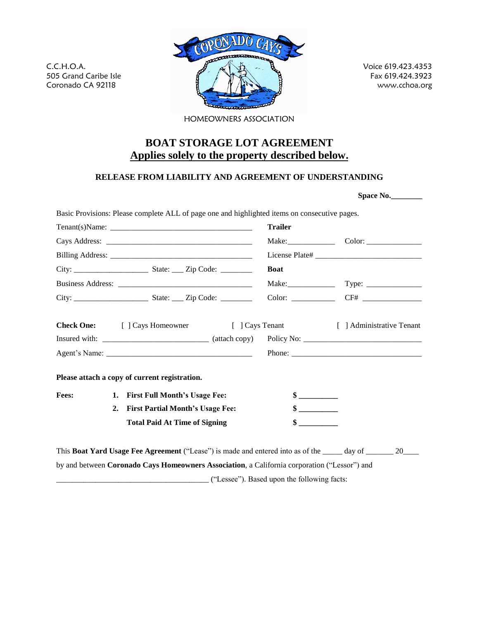C.C.H.O.A. 505 Grand Caribe Isle Coronado CA 92118

Voice 619.423.4353 Fax 619.424.3923 www.cchoa.org

**Space No.\_\_\_\_\_\_\_\_**

HOMEOWNERS ASSOCIATION

## **BOAT STORAGE LOT AGREEMENT Applies solely to the property described below.**

## **RELEASE FROM LIABILITY AND AGREEMENT OF UNDERSTANDING**

|              |                                               |                                     | <b>Trailer</b>              |  |  |
|--------------|-----------------------------------------------|-------------------------------------|-----------------------------|--|--|
|              |                                               |                                     |                             |  |  |
|              |                                               |                                     |                             |  |  |
|              |                                               |                                     | <b>Boat</b>                 |  |  |
|              |                                               |                                     |                             |  |  |
|              |                                               |                                     |                             |  |  |
|              |                                               |                                     |                             |  |  |
|              | Please attach a copy of current registration. |                                     |                             |  |  |
| <b>Fees:</b> |                                               | 1. First Full Month's Usage Fee:    | $\frac{\text{S}}{\text{S}}$ |  |  |
|              |                                               | 2. First Partial Month's Usage Fee: | $\frac{\text{S}}{\text{S}}$ |  |  |

This **Boat Yard Usage Fee Agreement** ("Lease") is made and entered into as of the \_\_\_\_\_ day of \_\_\_\_\_\_ 20<br>by and between **Coronado Cays Homeowners Association**, a California corporation ("Lessor") and by and between Coronado Cays Homeowners Association, a California corporation ("Lessor") and<br>
("Lessee"). Based upon the following facts: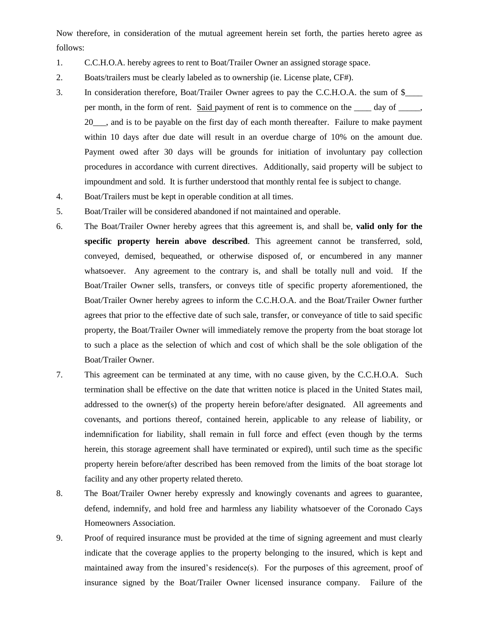Now therefore, in consideration of the mutual agreement herein set forth, the parties hereto agree as follows:

- 1. C.C.H.O.A. hereby agrees to rent to Boat/Trailer Owner an assigned storage space.
- 2. Boats/trailers must be clearly labeled as to ownership (ie. License plate, CF#).
- 3. In consideration therefore, Boat/Trailer Owner agrees to pay the C.C.H.O.A. the sum of \$\_\_\_\_ per month, in the form of rent. Said payment of rent is to commence on the day of  $\cdot$ , 20\_\_\_, and is to be payable on the first day of each month thereafter. Failure to make payment within 10 days after due date will result in an overdue charge of 10% on the amount due. Payment owed after 30 days will be grounds for initiation of involuntary pay collection procedures in accordance with current directives. Additionally, said property will be subject to impoundment and sold. It is further understood that monthly rental fee is subject to change.
- 4. Boat/Trailers must be kept in operable condition at all times.
- 5. Boat/Trailer will be considered abandoned if not maintained and operable.
- 6. The Boat/Trailer Owner hereby agrees that this agreement is, and shall be, **valid only for the specific property herein above described**. This agreement cannot be transferred, sold, conveyed, demised, bequeathed, or otherwise disposed of, or encumbered in any manner whatsoever. Any agreement to the contrary is, and shall be totally null and void. If the Boat/Trailer Owner sells, transfers, or conveys title of specific property aforementioned, the Boat/Trailer Owner hereby agrees to inform the C.C.H.O.A. and the Boat/Trailer Owner further agrees that prior to the effective date of such sale, transfer, or conveyance of title to said specific property, the Boat/Trailer Owner will immediately remove the property from the boat storage lot to such a place as the selection of which and cost of which shall be the sole obligation of the Boat/Trailer Owner.
- 7. This agreement can be terminated at any time, with no cause given, by the C.C.H.O.A. Such termination shall be effective on the date that written notice is placed in the United States mail, addressed to the owner(s) of the property herein before/after designated. All agreements and covenants, and portions thereof, contained herein, applicable to any release of liability, or indemnification for liability, shall remain in full force and effect (even though by the terms herein, this storage agreement shall have terminated or expired), until such time as the specific property herein before/after described has been removed from the limits of the boat storage lot facility and any other property related thereto.
- 8. The Boat/Trailer Owner hereby expressly and knowingly covenants and agrees to guarantee, defend, indemnify, and hold free and harmless any liability whatsoever of the Coronado Cays Homeowners Association.
- 9. Proof of required insurance must be provided at the time of signing agreement and must clearly indicate that the coverage applies to the property belonging to the insured, which is kept and maintained away from the insured's residence(s). For the purposes of this agreement, proof of insurance signed by the Boat/Trailer Owner licensed insurance company. Failure of the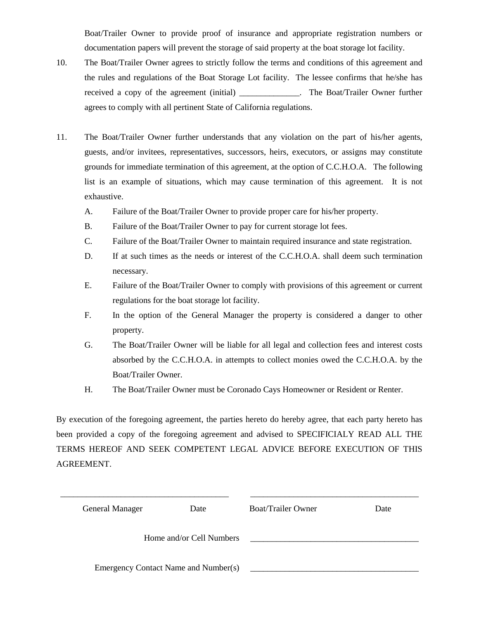Boat/Trailer Owner to provide proof of insurance and appropriate registration numbers or documentation papers will prevent the storage of said property at the boat storage lot facility.

- 10. The Boat/Trailer Owner agrees to strictly follow the terms and conditions of this agreement and the rules and regulations of the Boat Storage Lot facility. The lessee confirms that he/she has received a copy of the agreement (initial) \_\_\_\_\_\_\_\_\_\_\_\_\_\_. The Boat/Trailer Owner further agrees to comply with all pertinent State of California regulations.
- 11. The Boat/Trailer Owner further understands that any violation on the part of his/her agents, guests, and/or invitees, representatives, successors, heirs, executors, or assigns may constitute grounds for immediate termination of this agreement, at the option of C.C.H.O.A. The following list is an example of situations, which may cause termination of this agreement. It is not exhaustive.
	- A. Failure of the Boat/Trailer Owner to provide proper care for his/her property.
	- B. Failure of the Boat/Trailer Owner to pay for current storage lot fees.
	- C. Failure of the Boat/Trailer Owner to maintain required insurance and state registration.
	- D. If at such times as the needs or interest of the C.C.H.O.A. shall deem such termination necessary.
	- E. Failure of the Boat/Trailer Owner to comply with provisions of this agreement or current regulations for the boat storage lot facility.
	- F. In the option of the General Manager the property is considered a danger to other property.
	- G. The Boat/Trailer Owner will be liable for all legal and collection fees and interest costs absorbed by the C.C.H.O.A. in attempts to collect monies owed the C.C.H.O.A. by the Boat/Trailer Owner.
	- H. The Boat/Trailer Owner must be Coronado Cays Homeowner or Resident or Renter.

By execution of the foregoing agreement, the parties hereto do hereby agree, that each party hereto has been provided a copy of the foregoing agreement and advised to SPECIFICIALY READ ALL THE TERMS HEREOF AND SEEK COMPETENT LEGAL ADVICE BEFORE EXECUTION OF THIS AGREEMENT.

| <b>General Manager</b> | Date                                 | <b>Boat/Trailer Owner</b> | Date |
|------------------------|--------------------------------------|---------------------------|------|
|                        | Home and/or Cell Numbers             |                           |      |
|                        | Emergency Contact Name and Number(s) |                           |      |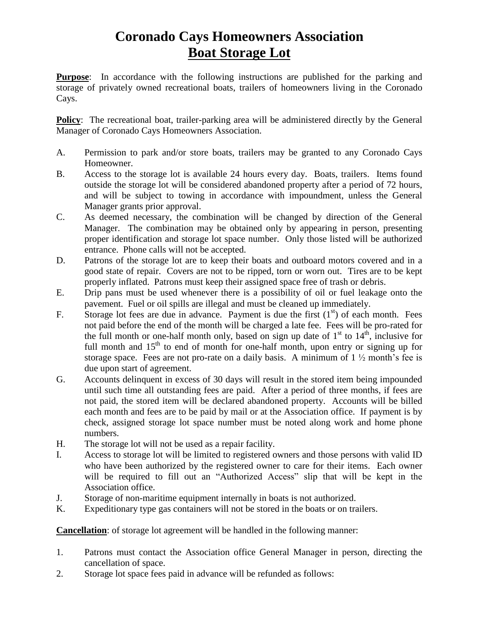## **Coronado Cays Homeowners Association Boat Storage Lot**

**Purpose**: In accordance with the following instructions are published for the parking and storage of privately owned recreational boats, trailers of homeowners living in the Coronado Cays.

**Policy**: The recreational boat, trailer-parking area will be administered directly by the General Manager of Coronado Cays Homeowners Association.

- A. Permission to park and/or store boats, trailers may be granted to any Coronado Cays Homeowner.
- B. Access to the storage lot is available 24 hours every day. Boats, trailers. Items found outside the storage lot will be considered abandoned property after a period of 72 hours, and will be subject to towing in accordance with impoundment, unless the General Manager grants prior approval.
- C. As deemed necessary, the combination will be changed by direction of the General Manager. The combination may be obtained only by appearing in person, presenting proper identification and storage lot space number. Only those listed will be authorized entrance. Phone calls will not be accepted.
- D. Patrons of the storage lot are to keep their boats and outboard motors covered and in a good state of repair. Covers are not to be ripped, torn or worn out.Tires are to be kept properly inflated. Patrons must keep their assigned space free of trash or debris.
- E. Drip pans must be used whenever there is a possibility of oil or fuel leakage onto the pavement. Fuel or oil spills are illegal and must be cleaned up immediately.
- F. Storage lot fees are due in advance. Payment is due the first  $(1<sup>st</sup>)$  of each month. Fees not paid before the end of the month will be charged a late fee. Fees will be pro-rated for the full month or one-half month only, based on sign up date of 1<sup>st</sup> to 14<sup>th</sup>, inclusive for full month and 15<sup>th</sup> to end of month for one-half month, upon entry or signing up for storage space. Fees are not pro-rate on full month and  $15<sup>th</sup>$  to end of month for one-half month, upon entry or signing up for due upon start of agreement.
- G. Accounts delinquent in excess of 30 days will result in the stored item being impounded until such time all outstanding fees are paid. After a period of three months, if fees are not paid, the stored item will be declared abandoned property. Accounts will be billed each month and fees are to be paid by mail or at the Association office. If payment is by check, assigned storage lot space number must be noted along work and home phone numbers.
- H. The storage lot will not be used as a repair facility.
- I. Access to storage lot will be limited to registered owners and those persons with valid ID who have been authorized by the registered owner to care for their items. Each owner will be required to fill out an "Authorized Access" slip that will be kept in the Association office.
- J. Storage of non-maritime equipment internally in boats is not authorized.<br>
K. Expeditionary type gas containers will not be stored in the boats or on tra
- Expeditionary type gas containers will not be stored in the boats or on trailers.

**Cancellation**: of storage lot agreement will be handled in the following manner:

- 1. Patrons must contact the Association office General Manager in person, directing the cancellation of space.
- 2. Storage lot space fees paid in advance will be refunded as follows: